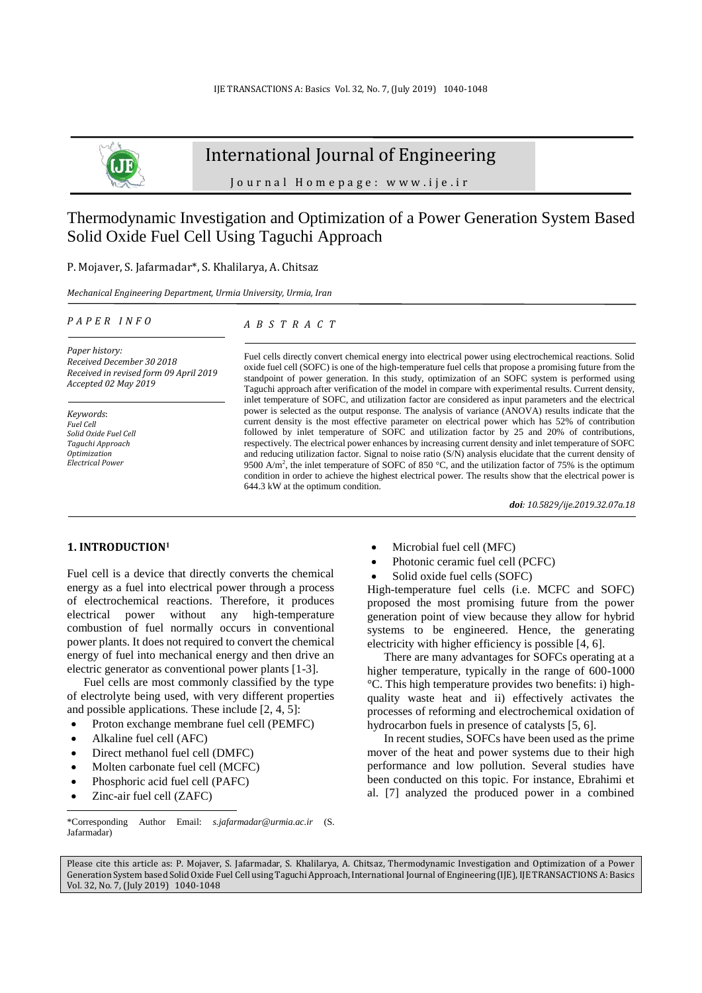

# International Journal of Engineering

J o u r n a l H o m e p a g e : w w w . i j e . i r

# Thermodynamic Investigation and Optimization of a Power Generation System Based Solid Oxide Fuel Cell Using Taguchi Approach

P. Mojaver, S. Jafarmadar\*, S. Khalilarya, A. Chitsaz

*Mechanical Engineering Department, Urmia University, Urmia, Iran*

#### *P A P E R I N F O*

*A B S T R A C T*

*Paper history: Received December 30 2018 Received in revised form 09 April 2019 Accepted 02 May 2019*

*Keywords*: *Fuel Cell Solid Oxide Fuel Cell Taguchi Approach Optimization Electrical Power* 

Fuel cells directly convert chemical energy into electrical power using electrochemical reactions. Solid oxide fuel cell (SOFC) is one of the high-temperature fuel cells that propose a promising future from the standpoint of power generation. In this study, optimization of an SOFC system is performed using Taguchi approach after verification of the model in compare with experimental results. Current density, inlet temperature of SOFC, and utilization factor are considered as input parameters and the electrical power is selected as the output response. The analysis of variance (ANOVA) results indicate that the current density is the most effective parameter on electrical power which has 52% of contribution followed by inlet temperature of SOFC and utilization factor by 25 and 20% of contributions, respectively. The electrical power enhances by increasing current density and inlet temperature of SOFC and reducing utilization factor. Signal to noise ratio (S/N) analysis elucidate that the current density of 9500 A/m<sup>2</sup>, the inlet temperature of SOFC of 850 °C, and the utilization factor of 75% is the optimum condition in order to achieve the highest electrical power. The results show that the electrical power is 644.3 kW at the optimum condition.

*doi: 10.5829/ije.2019.32.07a.18*

### **1. INTRODUCTION<sup>1</sup>**

Fuel cell is a device that directly converts the chemical energy as a fuel into electrical power through a process of electrochemical reactions. Therefore, it produces electrical power without any high-temperature combustion of fuel normally occurs in conventional power plants. It does not required to convert the chemical energy of fuel into mechanical energy and then drive an electric generator as conventional power plants [1-3].

Fuel cells are most commonly classified by the type of electrolyte being used, with very different properties and possible applications. These include [2, 4, 5]:

- Proton exchange membrane fuel cell (PEMFC)
- Alkaline fuel cell (AFC)
- Direct methanol fuel cell (DMFC)
- Molten carbonate fuel cell (MCFC)
- Phosphoric acid fuel cell (PAFC)
- Zinc-air fuel cell (ZAFC)

l

- Microbial fuel cell (MFC)
- Photonic ceramic fuel cell (PCFC)
- Solid oxide fuel cells (SOFC)

High-temperature fuel cells (i.e. MCFC and SOFC) proposed the most promising future from the power generation point of view because they allow for hybrid systems to be engineered. Hence, the generating electricity with higher efficiency is possible [4, 6].

There are many advantages for SOFCs operating at a higher temperature, typically in the range of 600-1000 °C. This high temperature provides two benefits: i) highquality waste heat and ii) effectively activates the processes of reforming and electrochemical oxidation of hydrocarbon fuels in presence of catalysts [5, 6].

In recent studies, SOFCs have been used as the prime mover of the heat and power systems due to their high performance and low pollution. Several studies have been conducted on this topic. For instance, Ebrahimi et al. [7] analyzed the produced power in a combined

Please cite this article as: P. Mojaver, S. Jafarmadar, S. Khalilarya, A. Chitsaz, Thermodynamic Investigation and Optimization of a Power Generation System based Solid Oxide Fuel Cell using Taguchi Approach, International Journal of Engineering (IJE), IJE TRANSACTIONS A: Basics Vol. 32, No. 7, (July 2019) 1040-1048

<sup>\*</sup>Corresponding Author Email: *s.jafarmadar@urmia.ac.ir* (S. Jafarmadar)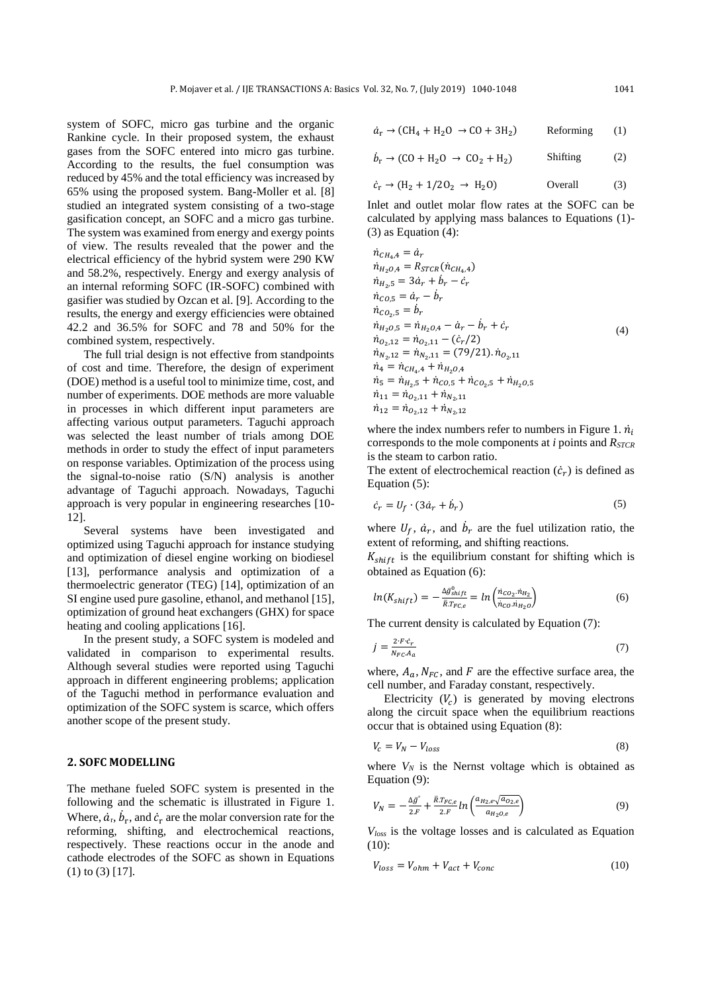system of SOFC, micro gas turbine and the organic Rankine cycle. In their proposed system, the exhaust gases from the SOFC entered into micro gas turbine. According to the results, the fuel consumption was reduced by 45% and the total efficiency was increased by 65% using the proposed system. Bang-Moller et al. [8] studied an integrated system consisting of a two-stage gasification concept, an SOFC and a micro gas turbine. The system was examined from energy and exergy points of view. The results revealed that the power and the electrical efficiency of the hybrid system were 290 KW and 58.2%, respectively. Energy and exergy analysis of an internal reforming SOFC (IR-SOFC) combined with gasifier was studied by Ozcan et al. [9]. According to the results, the energy and exergy efficiencies were obtained 42.2 and 36.5% for SOFC and 78 and 50% for the combined system, respectively.

The full trial design is not effective from standpoints of cost and time. Therefore, the design of experiment (DOE) method is a useful tool to minimize time, cost, and number of experiments. DOE methods are more valuable in processes in which different input parameters are affecting various output parameters. Taguchi approach was selected the least number of trials among DOE methods in order to study the effect of input parameters on response variables. Optimization of the process using the signal-to-noise ratio (S/N) analysis is another advantage of Taguchi approach. Nowadays, Taguchi approach is very popular in engineering researches [10- 12].

Several systems have been investigated and optimized using Taguchi approach for instance studying and optimization of diesel engine working on biodiesel [13], performance analysis and optimization of a thermoelectric generator (TEG) [14], optimization of an SI engine used pure gasoline, ethanol, and methanol [15], optimization of ground heat exchangers (GHX) for space heating and cooling applications [16].

In the present study, a SOFC system is modeled and validated in comparison to experimental results. Although several studies were reported using Taguchi approach in different engineering problems; application of the Taguchi method in performance evaluation and optimization of the SOFC system is scarce, which offers another scope of the present study.

### **2. SOFC MODELLING**

The methane fueled SOFC system is presented in the following and the schematic is illustrated in Figure 1. Where,  $\dot{a}_{r}$ ,  $\dot{b}_{r}$ , and  $\dot{c}_{r}$  are the molar conversion rate for the reforming, shifting, and electrochemical reactions, respectively. These reactions occur in the anode and cathode electrodes of the SOFC as shown in Equations (1) to (3) [17].

$$
\dot{a}_{\rm r} \rightarrow ({\rm CH_4} + {\rm H_2O} \rightarrow {\rm CO} + 3 {\rm H_2}) \hspace{1cm} {\rm Referring} \hspace{0.5cm} (1)
$$

$$
\dot{b}_r \rightarrow (CO + H_2O \rightarrow CO_2 + H_2) \qquad \text{Shifting} \qquad (2)
$$

$$
\dot{c}_{\rm r} \rightarrow (\text{H}_2 + 1/20_2 \rightarrow \text{H}_2\text{O}) \qquad \text{Overall} \qquad (3)
$$

Inlet and outlet molar flow rates at the SOFC can be calculated by applying mass balances to Equations (1)- (3) as Equation (4):

$$
\begin{aligned}\n\dot{n}_{CH_4A} &= \dot{a}_r \\
\dot{n}_{H_2O,4} &= R_{STCR}(\dot{n}_{CH_4A}) \\
\dot{n}_{H_2.5} &= 3\dot{a}_r + \dot{b}_r - \dot{c}_r \\
\dot{n}_{CO,5} &= \dot{a}_r - \dot{b}_r \\
\dot{n}_{CO_2.5} &= \dot{b}_r \\
\dot{n}_{H_2O,5} &= \dot{n}_{H_2O,4} - \dot{a}_r - \dot{b}_r + \dot{c}_r \\
\dot{n}_{O_2,12} &= \dot{n}_{O_2,11} - (\dot{c}_r/2) \\
\dot{n}_{N_2.12} &= \dot{n}_{N_2.11} = (79/21).\dot{n}_{O_2.11} \\
\dot{n}_4 &= \dot{n}_{CH_4A} + \dot{n}_{H_2O,4} \\
\dot{n}_5 &= \dot{n}_{H_2.5} + \dot{n}_{CO,5} + \dot{n}_{CO_2.5} + \dot{n}_{H_2O,5} \\
\dot{n}_{11} &= \dot{n}_{O_2,11} + \dot{n}_{N_2.11} \\
\dot{n}_{12} &= \dot{n}_{O_2,12} + \dot{n}_{N_2.12}\n\end{aligned}
$$
\n
$$
(4)
$$

where the index numbers refer to numbers in Figure 1.  $\dot{n}_i$ corresponds to the mole components at *i* points and *RSTCR* is the steam to carbon ratio.

The extent of electrochemical reaction  $(\dot{c}_r)$  is defined as Equation (5):

$$
\dot{c}_r = U_f \cdot (3\dot{a}_r + \dot{b}_r) \tag{5}
$$

where  $U_f$ ,  $\dot{a}_r$ , and  $\dot{b}_r$  are the fuel utilization ratio, the extent of reforming, and shifting reactions.

 $K_{shift}$  is the equilibrium constant for shifting which is obtained as Equation (6):

$$
ln(K_{shift}) = -\frac{\Delta \bar{g}_{shift}}{\bar{R}T_{FC,e}} = ln\left(\frac{\dot{n}_{CO_2} \cdot \dot{n}_{H_2}}{\dot{n}_{CO} \cdot \dot{n}_{H_2 O}}\right)
$$
(6)

The current density is calculated by Equation (7):

$$
j = \frac{2 \cdot F \cdot \dot{c}_r}{N_{FC} A_a} \tag{7}
$$

where,  $A_a$ ,  $N_{FC}$ , and F are the effective surface area, the cell number, and Faraday constant, respectively.

Electricity  $(V_c)$  is generated by moving electrons along the circuit space when the equilibrium reactions occur that is obtained using Equation (8):

$$
V_c = V_N - V_{loss} \tag{8}
$$

where  $V_N$  is the Nernst voltage which is obtained as Equation (9):

$$
V_N = -\frac{\Delta \bar{g}^{\circ}}{2.F} + \frac{\bar{R}T_{FC,e}}{2.F} \ln\left(\frac{a_{H_2,e}\sqrt{a_{O_2,e}}}{a_{H_2O,e}}\right) \tag{9}
$$

*Vloss* is the voltage losses and is calculated as Equation (10):

$$
V_{loss} = V_{ohm} + V_{act} + V_{conc}
$$
 (10)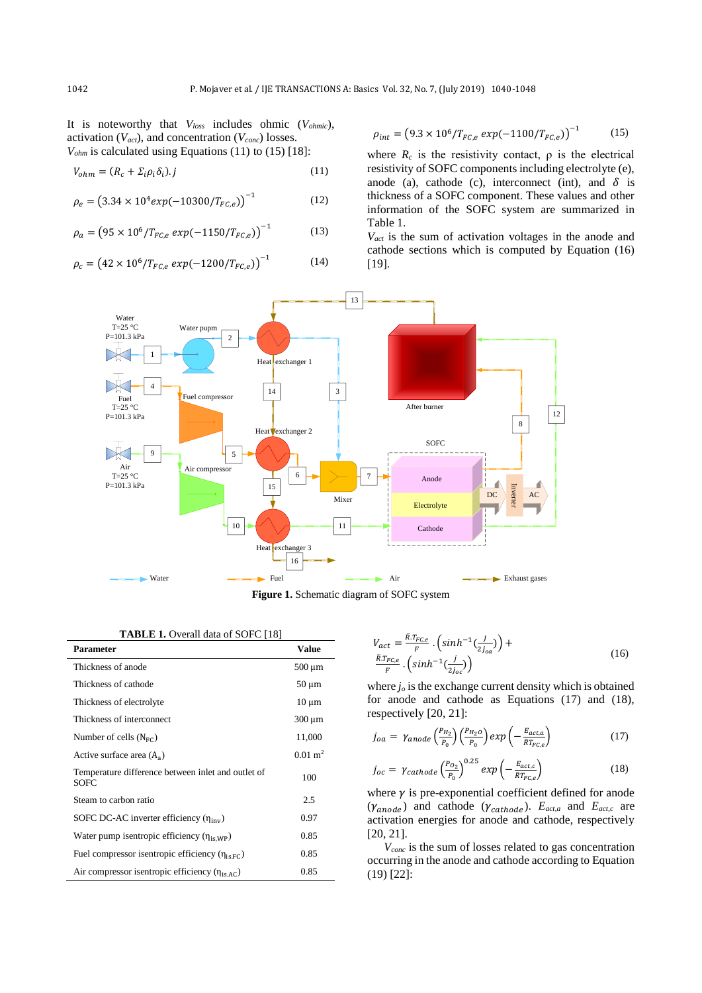It is noteworthy that *Vloss* includes ohmic (*Vohmic*), activation (*Vact*), and concentration (*Vconc*) losses.  $V_{ohm}$  is calculated using Equations (11) to (15) [18]:

$$
V_{ohm} = (R_c + \Sigma_i \rho_i \delta_i).j
$$
\n(11)

$$
\rho_e = (3.34 \times 10^4 \exp(-10300/T_{FC,e}))^{-1}
$$
 (12)

$$
\rho_a = \left(95 \times 10^6 / T_{FC,e} \exp(-1150 / T_{FC,e})\right)^{-1} \tag{13}
$$

$$
\rho_c = \left(42 \times 10^6 / T_{FC,e} \exp(-1200 / T_{FC,e})\right)^{-1} \tag{14}
$$

$$
\rho_{int} = \left(9.3 \times 10^6 / T_{FC,e} \exp(-1100 / T_{FC,e})\right)^{-1} \tag{15}
$$

where  $R_c$  is the resistivity contact,  $\rho$  is the electrical resistivity of SOFC components including electrolyte (e), anode (a), cathode (c), interconnect (int), and  $\delta$  is thickness of a SOFC component. These values and other information of the SOFC system are summarized in Table 1.

*Vact* is the sum of activation voltages in the anode and cathode sections which is computed by Equation (16) [19].



**Figure 1.** Schematic diagram of SOFC system

|  | <b>TABLE 1.</b> Overall data of SOFC [18] |
|--|-------------------------------------------|
|--|-------------------------------------------|

| <b>Parameter</b>                                                  | <b>Value</b>       |
|-------------------------------------------------------------------|--------------------|
| Thickness of anode                                                | $500 \mu m$        |
| Thickness of cathode                                              | $50 \mu m$         |
| Thickness of electrolyte                                          | $10 \mu m$         |
| Thickness of interconnect                                         | $300 \mu m$        |
| Number of cells $(N_{FC})$                                        | 11,000             |
| Active surface area $(A_{\alpha})$                                | $0.01 \text{ m}^2$ |
| Temperature difference between inlet and outlet of<br><b>SOFC</b> | 100                |
| Steam to carbon ratio                                             | 2.5                |
| SOFC DC-AC inverter efficiency $(\eta_{inv})$                     | 0.97               |
| Water pump is entropic efficiency $(\eta_{i\text{SWP}})$          | 0.85               |
| Fuel compressor isentropic efficiency $(\eta_{is\,EC})$           | 0.85               |
| Air compressor isentropic efficiency $(\eta_{is,AC})$             | 0.85               |

$$
V_{act} = \frac{\bar{R}.T_{FC,e}}{F} \cdot \left(\sinh^{-1}(\frac{j}{2j_{oa}})\right) + \frac{\bar{R}.T_{FC,e}}{F} \cdot \left(\sinh^{-1}(\frac{j}{2j_{oa}})\right)
$$
\n(16)

where *j<sup>o</sup>* is the exchange current density which is obtained for anode and cathode as Equations (17) and (18), respectively [20, 21]:

$$
j_{oa} = \gamma_{anode} \left(\frac{P_{H_2}}{P_0}\right) \left(\frac{P_{H_2 o}}{P_0}\right) exp\left(-\frac{E_{act,a}}{\bar{R}T_{FC,e}}\right) \tag{17}
$$

$$
j_{oc} = \gamma_{cathode} \left(\frac{P_{O_2}}{P_0}\right)^{0.25} exp\left(-\frac{E_{act,c}}{\bar{R}T_{FC,e}}\right)
$$
 (18)

where  $\gamma$  is pre-exponential coefficient defined for anode  $(\gamma_{anode})$  and cathode  $(\gamma_{cathode})$ .  $E_{act,a}$  and  $E_{act,c}$  are activation energies for anode and cathode, respectively [20, 21].

*Vconc* is the sum of losses related to gas concentration occurring in the anode and cathode according to Equation (19) [22]: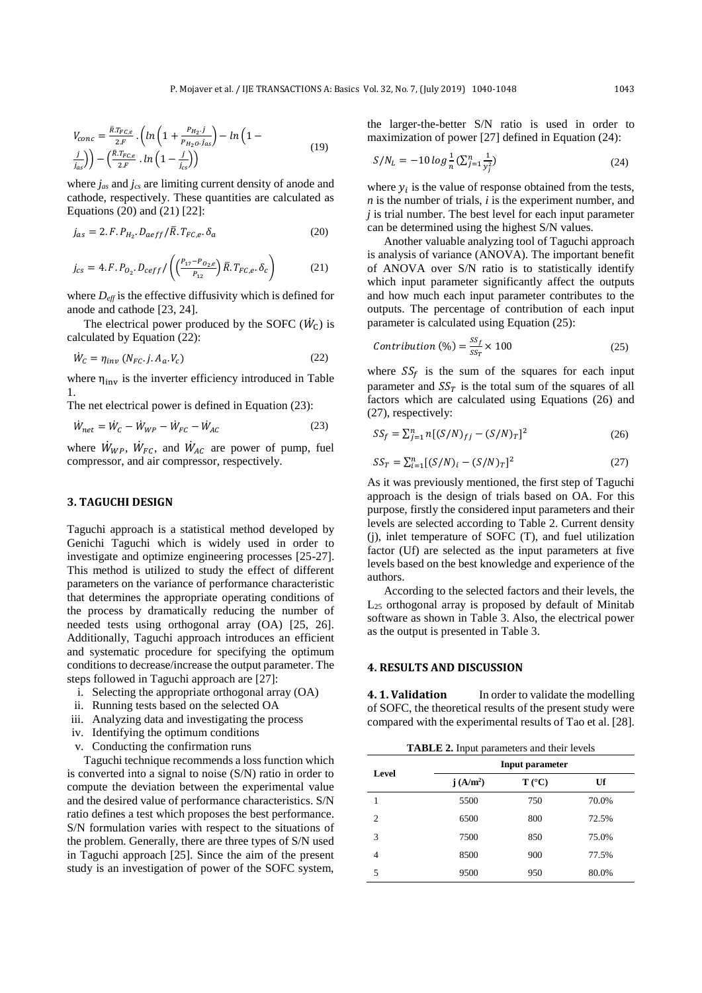$$
V_{conc} = \frac{\bar{R}.\bar{T}_{FC,e}}{2.F} \cdot \left( \ln \left( 1 + \frac{P_{H_2} \cdot j}{P_{H_2O} \cdot j_{as}} \right) - \ln \left( 1 - \frac{j}{j_{as}} \right) \right) - \left( \frac{\bar{R}.\bar{T}_{FC,e}}{2.F} \cdot \ln \left( 1 - \frac{j}{j_{cs}} \right) \right) \tag{19}
$$

where *jas* and *jcs* are limiting current density of anode and cathode, respectively. These quantities are calculated as Equations (20) and (21) [22]:

$$
j_{as} = 2.F.P_{H_2}.D_{aeff}/\bar{R}.T_{FC,e}.\delta_a \qquad (20)
$$

$$
j_{cs} = 4. F. P_{O_2}. D_{ceff} / \left( \frac{P_{17} - P_{O_2,e}}{P_{12}} \right) \overline{R}. T_{FC,e}. \delta_c \right)
$$
 (21)

where  $D_{\text{eff}}$  is the effective diffusivity which is defined for anode and cathode [23, 24].

The electrical power produced by the SOFC  $(\dot{W}_C)$  is calculated by Equation (22):

$$
\dot{W}_c = \eta_{inv} \left( N_{FC} \cdot j \cdot A_a \cdot V_c \right) \tag{22}
$$

where  $\eta_{\text{inv}}$  is the inverter efficiency introduced in Table 1.

The net electrical power is defined in Equation (23):

$$
\dot{W}_{net} = \dot{W}_C - \dot{W}_{WP} - \dot{W}_{FC} - \dot{W}_{AC}
$$
\n(23)

where  $W_{WP}$ ,  $W_{FC}$ , and  $W_{AC}$  are power of pump, fuel compressor, and air compressor, respectively.

## **3. TAGUCHI DESIGN**

Taguchi approach is a statistical method developed by Genichi Taguchi which is widely used in order to investigate and optimize engineering processes [25-27]. This method is utilized to study the effect of different parameters on the variance of performance characteristic that determines the appropriate operating conditions of the process by dramatically reducing the number of needed tests using orthogonal array (OA) [25, 26]. Additionally, Taguchi approach introduces an efficient and systematic procedure for specifying the optimum conditions to decrease/increase the output parameter. The steps followed in Taguchi approach are [27]:

- i. Selecting the appropriate orthogonal array (OA)
- ii. Running tests based on the selected OA
- iii. Analyzing data and investigating the process
- iv. Identifying the optimum conditions
- v. Conducting the confirmation runs

Taguchi technique recommends a loss function which is converted into a signal to noise (S/N) ratio in order to compute the deviation between the experimental value and the desired value of performance characteristics. S/N ratio defines a test which proposes the best performance. S/N formulation varies with respect to the situations of the problem. Generally, there are three types of S/N used in Taguchi approach [25]. Since the aim of the present study is an investigation of power of the SOFC system,

the larger-the-better S/N ratio is used in order to maximization of power [27] defined in Equation (24):

$$
S/N_L = -10 \log \frac{1}{n} \left( \sum_{j=1}^n \frac{1}{y_j^2} \right) \tag{24}
$$

where  $y_i$  is the value of response obtained from the tests, *n* is the number of trials, *i* is the experiment number, and *j* is trial number. The best level for each input parameter can be determined using the highest S/N values.

Another valuable analyzing tool of Taguchi approach is analysis of variance (ANOVA). The important benefit of ANOVA over S/N ratio is to statistically identify which input parameter significantly affect the outputs and how much each input parameter contributes to the outputs. The percentage of contribution of each input parameter is calculated using Equation (25):

$$
Contribution (%) = \frac{SS_f}{SS_T} \times 100
$$
 (25)

where  $SS_f$  is the sum of the squares for each input parameter and  $SS_T$  is the total sum of the squares of all factors which are calculated using Equations (26) and (27), respectively:

$$
SS_f = \sum_{j=1}^{n} n[(S/N)_{fj} - (S/N)_{T}]^2
$$
 (26)

$$
SS_T = \sum_{i=1}^n [(S/N)_i - (S/N)_T]^2
$$
 (27)

As it was previously mentioned, the first step of Taguchi approach is the design of trials based on OA. For this purpose, firstly the considered input parameters and their levels are selected according to Table 2. Current density (j), inlet temperature of SOFC (T), and fuel utilization factor (Uf) are selected as the input parameters at five levels based on the best knowledge and experience of the authors.

According to the selected factors and their levels, the  $L_{25}$  orthogonal array is proposed by default of Minitab software as shown in Table 3. Also, the electrical power as the output is presented in Table 3.

## **4. RESULTS AND DISCUSSION**

**4. 1. Validation** In order to validate the modelling of SOFC, the theoretical results of the present study were compared with the experimental results of Tao et al. [28].

| Level          |                      | Input parameter |       |
|----------------|----------------------|-----------------|-------|
|                | j(A/m <sup>2</sup> ) | $T (^{\circ}C)$ | Uf    |
|                | 5500                 | 750             | 70.0% |
| $\overline{c}$ | 6500                 | 800             | 72.5% |
| 3              | 7500                 | 850             | 75.0% |
| 4              | 8500                 | 900             | 77.5% |
| 5              | 9500                 | 950             | 80.0% |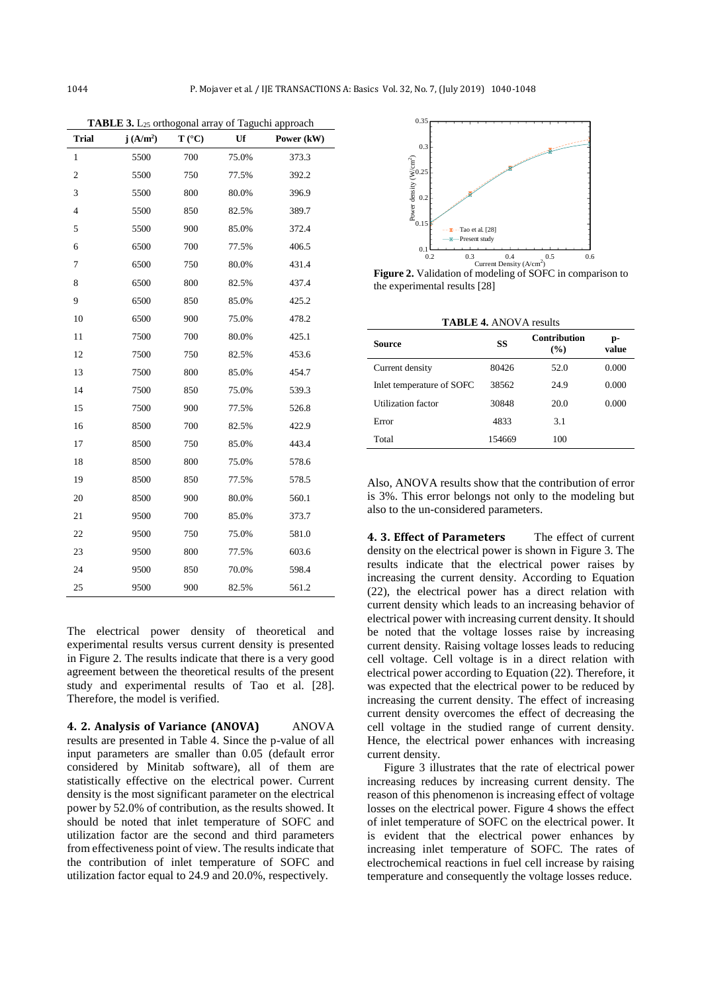| <b>Trial</b>   | j(A/m <sup>2</sup> ) | $T (^{\circ}C)$ | Uf    | Power (kW) |
|----------------|----------------------|-----------------|-------|------------|
| 1              | 5500                 | 700             | 75.0% | 373.3      |
| $\overline{c}$ | 5500                 | 750             | 77.5% | 392.2      |
| 3              | 5500                 | 800             | 80.0% | 396.9      |
| $\overline{4}$ | 5500                 | 850             | 82.5% | 389.7      |
| 5              | 5500                 | 900             | 85.0% | 372.4      |
| 6              | 6500                 | 700             | 77.5% | 406.5      |
| 7              | 6500                 | 750             | 80.0% | 431.4      |
| 8              | 6500                 | 800             | 82.5% | 437.4      |
| 9              | 6500                 | 850             | 85.0% | 425.2      |
| 10             | 6500                 | 900             | 75.0% | 478.2      |
| 11             | 7500                 | 700             | 80.0% | 425.1      |
| 12             | 7500                 | 750             | 82.5% | 453.6      |
| 13             | 7500                 | 800             | 85.0% | 454.7      |
| 14             | 7500                 | 850             | 75.0% | 539.3      |
| 15             | 7500                 | 900             | 77.5% | 526.8      |
| 16             | 8500                 | 700             | 82.5% | 422.9      |
| 17             | 8500                 | 750             | 85.0% | 443.4      |
| 18             | 8500                 | 800             | 75.0% | 578.6      |
| 19             | 8500                 | 850             | 77.5% | 578.5      |
| 20             | 8500                 | 900             | 80.0% | 560.1      |
| 21             | 9500                 | 700             | 85.0% | 373.7      |
| 22             | 9500                 | 750             | 75.0% | 581.0      |
| 23             | 9500                 | 800             | 77.5% | 603.6      |
| 24             | 9500                 | 850             | 70.0% | 598.4      |
| 25             | 9500                 | 900             | 82.5% | 561.2      |

**TABLE 3.** L<sup>25</sup> orthogonal array of Taguchi approach

The electrical power density of theoretical and experimental results versus current density is presented in Figure 2. The results indicate that there is a very good agreement between the theoretical results of the present study and experimental results of Tao et al. [28]. Therefore, the model is verified.

**4. 2. Analysis of Variance (ANOVA)** ANOVA results are presented in Table 4. Since the p-value of all input parameters are smaller than 0.05 (default error considered by Minitab software), all of them are statistically effective on the electrical power. Current density is the most significant parameter on the electrical power by 52.0% of contribution, as the results showed. It should be noted that inlet temperature of SOFC and utilization factor are the second and third parameters from effectiveness point of view. The results indicate that the contribution of inlet temperature of SOFC and utilization factor equal to 24.9 and 20.0%, respectively.



**Figure 2.** Validation of modeling of SOFC in comparison to the experimental results [28]

| <b>TABLE 4. ANOVA results</b> |        |                            |             |
|-------------------------------|--------|----------------------------|-------------|
| Source                        | SS     | <b>Contribution</b><br>(%) | p-<br>value |
| Current density               | 80426  | 52.0                       | 0.000       |
| Inlet temperature of SOFC     | 38562  | 24.9                       | 0.000       |
| <b>Utilization</b> factor     | 30848  | 20.0                       | 0.000       |
| Error                         | 4833   | 3.1                        |             |
| Total                         | 154669 | 100                        |             |

Also, ANOVA results show that the contribution of error is 3%. This error belongs not only to the modeling but also to the un-considered parameters.

**4. 3. Effect of Parameters** The effect of current density on the electrical power is shown in Figure 3. The results indicate that the electrical power raises by increasing the current density. According to Equation (22), the electrical power has a direct relation with current density which leads to an increasing behavior of electrical power with increasing current density. It should be noted that the voltage losses raise by increasing current density. Raising voltage losses leads to reducing cell voltage. Cell voltage is in a direct relation with electrical power according to Equation (22). Therefore, it was expected that the electrical power to be reduced by increasing the current density. The effect of increasing current density overcomes the effect of decreasing the cell voltage in the studied range of current density. Hence, the electrical power enhances with increasing current density.

Figure 3 illustrates that the rate of electrical power increasing reduces by increasing current density. The reason of this phenomenon is increasing effect of voltage losses on the electrical power. Figure 4 shows the effect of inlet temperature of SOFC on the electrical power. It is evident that the electrical power enhances by increasing inlet temperature of SOFC. The rates of electrochemical reactions in fuel cell increase by raising temperature and consequently the voltage losses reduce.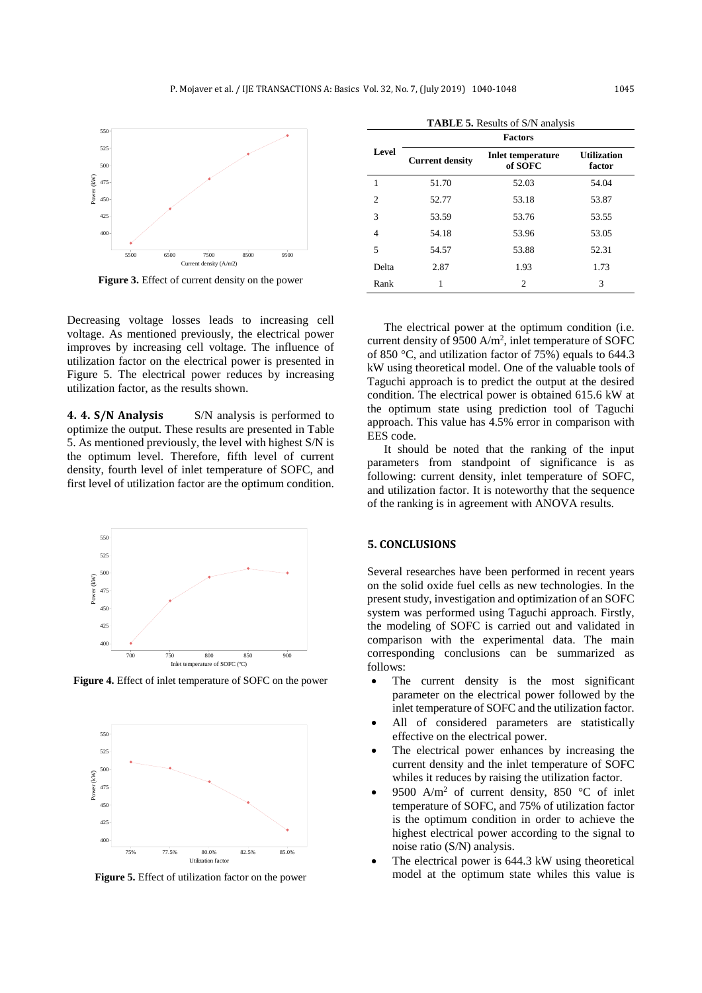

**Figure 3.** Effect of current density on the power

Decreasing voltage losses leads to increasing cell voltage. As mentioned previously, the electrical power improves by increasing cell voltage. The influence of utilization factor on the electrical power is presented in Figure 5. The electrical power reduces by increasing utilization factor, as the results shown.

**4. 4. S/N Analysis** S/N analysis is performed to optimize the output. These results are presented in Table 5. As mentioned previously, the level with highest S/N is the optimum level. Therefore, fifth level of current density, fourth level of inlet temperature of SOFC, and first level of utilization factor are the optimum condition.



**Figure 4.** Effect of inlet temperature of SOFC on the power



**Figure 5.** Effect of utilization factor on the power

| <b>TABLE 5.</b> Results of S/N analysis |                        |                                     |                              |
|-----------------------------------------|------------------------|-------------------------------------|------------------------------|
|                                         | <b>Factors</b>         |                                     |                              |
| Level                                   | <b>Current density</b> | <b>Inlet temperature</b><br>of SOFC | <b>Utilization</b><br>factor |
| 1                                       | 51.70                  | 52.03                               | 54.04                        |
| $\mathfrak{D}$                          | 52.77                  | 53.18                               | 53.87                        |
| 3                                       | 53.59                  | 53.76                               | 53.55                        |
| $\overline{4}$                          | 54.18                  | 53.96                               | 53.05                        |
| 5                                       | 54.57                  | 53.88                               | 52.31                        |
| Delta                                   | 2.87                   | 1.93                                | 1.73                         |
| Rank                                    |                        | $\overline{c}$                      | 3                            |

The electrical power at the optimum condition (i.e. current density of 9500  $A/m^2$ , inlet temperature of SOFC of 850 °C, and utilization factor of 75%) equals to 644.3 kW using theoretical model. One of the valuable tools of Taguchi approach is to predict the output at the desired condition. The electrical power is obtained 615.6 kW at the optimum state using prediction tool of Taguchi

It should be noted that the ranking of the input parameters from standpoint of significance is as following: current density, inlet temperature of SOFC, and utilization factor. It is noteworthy that the sequence of the ranking is in agreement with ANOVA results.

approach. This value has 4.5% error in comparison with

#### **5. CONCLUSIONS**

EES code.

Several researches have been performed in recent years on the solid oxide fuel cells as new technologies. In the present study, investigation and optimization of an SOFC system was performed using Taguchi approach. Firstly, the modeling of SOFC is carried out and validated in comparison with the experimental data. The main corresponding conclusions can be summarized as follows:

- The current density is the most significant parameter on the electrical power followed by the inlet temperature of SOFC and the utilization factor.
- All of considered parameters are statistically effective on the electrical power.
- The electrical power enhances by increasing the current density and the inlet temperature of SOFC whiles it reduces by raising the utilization factor.
- 9500 A/m<sup>2</sup> of current density, 850 °C of inlet temperature of SOFC, and 75% of utilization factor is the optimum condition in order to achieve the highest electrical power according to the signal to noise ratio (S/N) analysis.
- The electrical power is 644.3 kW using theoretical model at the optimum state whiles this value is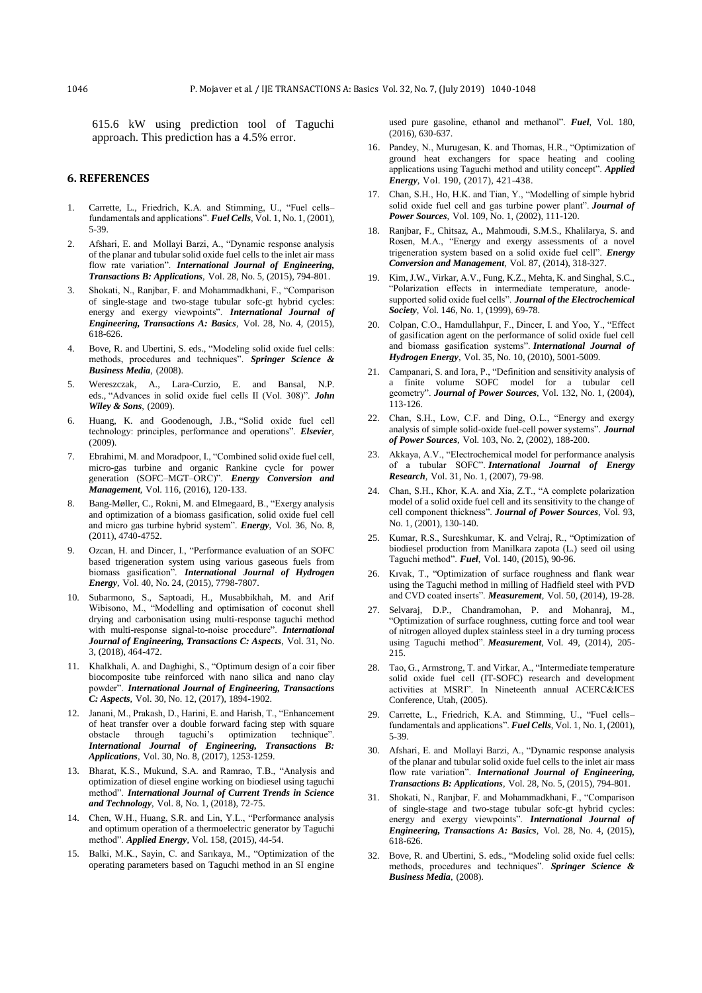615.6 kW using prediction tool of Taguchi approach. This prediction has a 4.5% error.

### **6. REFERENCES**

- 1. Carrette, L., Friedrich, K.A. and Stimming, U., "Fuel cells– fundamentals and applications". *Fuel Cells*, Vol. 1, No. 1, (2001), 5-39.
- 2. Afshari, E. and Mollayi Barzi, A., "Dynamic response analysis of the planar and tubular solid oxide fuel cells to the inlet air mass flow rate variation". *International Journal of Engineering, Transactions B: Applications*, Vol. 28, No. 5, (2015), 794-801.
- 3. Shokati, N., Ranjbar, F. and Mohammadkhani, F., "Comparison of single-stage and two-stage tubular sofc-gt hybrid cycles: energy and exergy viewpoints". *International Journal of Engineering, Transactions A: Basics*, Vol. 28, No. 4, (2015), 618-626.
- 4. Bove, R. and Ubertini, S. eds., "Modeling solid oxide fuel cells: methods, procedures and techniques". *Springer Science & Business Media*, (2008).
- 5. Wereszczak, A., Lara-Curzio, E. and Bansal, N.P. eds., "Advances in solid oxide fuel cells II (Vol. 308)". *John Wiley & Sons*, (2009).
- 6. Huang, K. and Goodenough, J.B., "Solid oxide fuel cell technology: principles, performance and operations". *Elsevier*, (2009).
- 7. Ebrahimi, M. and Moradpoor, I., "Combined solid oxide fuel cell, micro-gas turbine and organic Rankine cycle for power generation (SOFC–MGT–ORC)". *Energy Conversion and Management*, Vol. 116, (2016), 120-133.
- 8. Bang-Møller, C., Rokni, M. and Elmegaard, B., "Exergy analysis and optimization of a biomass gasification, solid oxide fuel cell and micro gas turbine hybrid system". *Energy*, Vol. 36, No. 8, (2011), 4740-4752.
- 9. Ozcan, H. and Dincer, I., "Performance evaluation of an SOFC based trigeneration system using various gaseous fuels from biomass gasification". *International Journal of Hydrogen Energy*, Vol. 40, No. 24, (2015), 7798-7807.
- 10. Subarmono, S., Saptoadi, H., Musabbikhah, M. and Arif Wibisono, M., "Modelling and optimisation of coconut shell drying and carbonisation using multi-response taguchi method with multi-response signal-to-noise procedure". *International Journal of Engineering, Transactions C: Aspects*, Vol. 31, No. 3, (2018), 464-472.
- 11. Khalkhali, A. and Daghighi, S., "Optimum design of a coir fiber biocomposite tube reinforced with nano silica and nano clay powder". *International Journal of Engineering, Transactions C: Aspects*, Vol. 30, No. 12, (2017), 1894-1902.
- 12. Janani, M., Prakash, D., Harini, E. and Harish, T., "Enhancement of heat transfer over a double forward facing step with square obstacle through taguchi's optimization technique". obstacle through taguchi's optimization *International Journal of Engineering, Transactions B: Applications*, Vol. 30, No. 8, (2017), 1253-1259.
- 13. Bharat, K.S., Mukund, S.A. and Ramrao, T.B., "Analysis and optimization of diesel engine working on biodiesel using taguchi method". *International Journal of Current Trends in Science and Technology*, Vol. 8, No. 1, (2018), 72-75.
- 14. Chen, W.H., Huang, S.R. and Lin, Y.L., "Performance analysis and optimum operation of a thermoelectric generator by Taguchi method". *Applied Energy*, Vol. 158, (2015), 44-54.
- 15. Balki, M.K., Sayin, C. and Sarıkaya, M., "Optimization of the operating parameters based on Taguchi method in an SI engine

used pure gasoline, ethanol and methanol". *Fuel*, Vol. 180,  $(2016)$ , 630-637.

- 16. Pandey, N., Murugesan, K. and Thomas, H.R., "Optimization of ground heat exchangers for space heating and cooling applications using Taguchi method and utility concept". *Applied Energy*, Vol. 190, (2017), 421-438.
- 17. Chan, S.H., Ho, H.K. and Tian, Y., "Modelling of simple hybrid solid oxide fuel cell and gas turbine power plant". *Journal of Power Sources*, Vol. 109, No. 1, (2002), 111-120.
- 18. Ranjbar, F., Chitsaz, A., Mahmoudi, S.M.S., Khalilarya, S. and Rosen, M.A., "Energy and exergy assessments of a novel trigeneration system based on a solid oxide fuel cell". *Energy Conversion and Management*, Vol. 87, (2014), 318-327.
- 19. Kim, J.W., Virkar, A.V., Fung, K.Z., Mehta, K. and Singhal, S.C., "Polarization effects in intermediate temperature, anode‐ supported solid oxide fuel cells". *Journal of the Electrochemical Society*, Vol. 146, No. 1, (1999), 69-78.
- 20. Colpan, C.O., Hamdullahpur, F., Dincer, I. and Yoo, Y., "Effect of gasification agent on the performance of solid oxide fuel cell and biomass gasification systems". *International Journal of Hydrogen Energy*, Vol. 35, No. 10, (2010), 5001-5009.
- 21. Campanari, S. and Iora, P., "Definition and sensitivity analysis of a finite volume SOFC model for a tubular cell geometry". *Journal of Power Sources*, Vol. 132, No. 1, (2004), 113-126.
- 22. Chan, S.H., Low, C.F. and Ding, O.L., "Energy and exergy analysis of simple solid-oxide fuel-cell power systems". *Journal of Power Sources*, Vol. 103, No. 2, (2002), 188-200.
- 23. Akkaya, A.V., "Electrochemical model for performance analysis of a tubular SOFC". *International Journal of Energy Research*, Vol. 31, No. 1, (2007), 79-98.
- 24. Chan, S.H., Khor, K.A. and Xia, Z.T., "A complete polarization model of a solid oxide fuel cell and its sensitivity to the change of cell component thickness". *Journal of Power Sources*, Vol. 93, No. 1, (2001), 130-140.
- 25. Kumar, R.S., Sureshkumar, K. and Velraj, R., "Optimization of biodiesel production from Manilkara zapota (L.) seed oil using Taguchi method". *Fuel*, Vol. 140, (2015), 90-96.
- 26. Kıvak, T., "Optimization of surface roughness and flank wear using the Taguchi method in milling of Hadfield steel with PVD and CVD coated inserts". *Measurement*, Vol. 50, (2014), 19-28.
- 27. Selvaraj, D.P., Chandramohan, P. and Mohanraj, M., "Optimization of surface roughness, cutting force and tool wear of nitrogen alloyed duplex stainless steel in a dry turning process using Taguchi method". *Measurement*, Vol. 49, (2014), 205- 215.
- 28. Tao, G., Armstrong, T. and Virkar, A., "Intermediate temperature solid oxide fuel cell (IT-SOFC) research and development activities at MSRI". In Nineteenth annual ACERC&ICES Conference, Utah, (2005).
- 29. Carrette, L., Friedrich, K.A. and Stimming, U., "Fuel cells– fundamentals and applications". *Fuel Cells*, Vol. 1, No. 1, (2001), 5-39.
- 30. Afshari, E. and Mollayi Barzi, A., "Dynamic response analysis of the planar and tubular solid oxide fuel cells to the inlet air mass flow rate variation". *International Journal of Engineering, Transactions B: Applications*, Vol. 28, No. 5, (2015), 794-801.
- 31. Shokati, N., Ranjbar, F. and Mohammadkhani, F., "Comparison of single-stage and two-stage tubular sofc-gt hybrid cycles: energy and exergy viewpoints". *International Journal of Engineering, Transactions A: Basics*, Vol. 28, No. 4, (2015), 618-626.
- 32. Bove, R. and Ubertini, S. eds., "Modeling solid oxide fuel cells: methods, procedures and techniques". *Springer Science & Business Media*, (2008).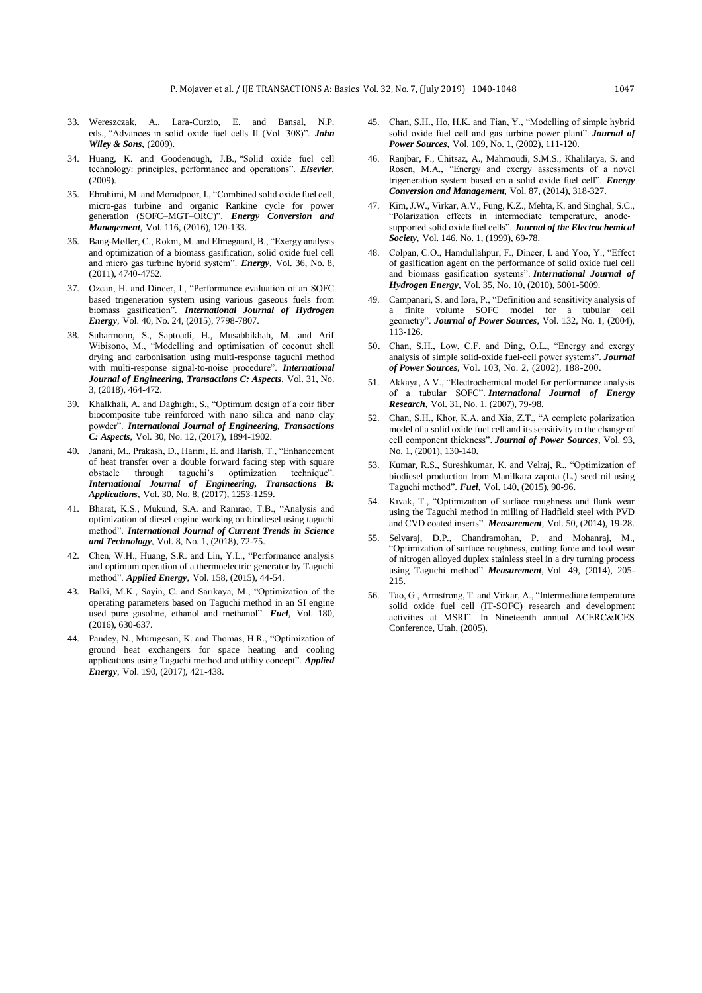- 33. Wereszczak, A., Lara-Curzio, E. and Bansal, N.P. eds., "Advances in solid oxide fuel cells II (Vol. 308)". *John Wiley & Sons*, (2009).
- 34. Huang, K. and Goodenough, J.B., "Solid oxide fuel cell technology: principles, performance and operations". *Elsevier*, (2009).
- 35. Ebrahimi, M. and Moradpoor, I., "Combined solid oxide fuel cell, micro-gas turbine and organic Rankine cycle for power generation (SOFC–MGT–ORC)". *Energy Conversion and Management*, Vol. 116, (2016), 120-133.
- 36. Bang-Møller, C., Rokni, M. and Elmegaard, B., "Exergy analysis and optimization of a biomass gasification, solid oxide fuel cell and micro gas turbine hybrid system". *Energy*, Vol. 36, No. 8, (2011), 4740-4752.
- 37. Ozcan, H. and Dincer, I., "Performance evaluation of an SOFC based trigeneration system using various gaseous fuels from biomass gasification". *International Journal of Hydrogen Energy*, Vol. 40, No. 24, (2015), 7798-7807.
- 38. Subarmono, S., Saptoadi, H., Musabbikhah, M. and Arif Wibisono, M., "Modelling and optimisation of coconut shell drying and carbonisation using multi-response taguchi method with multi-response signal-to-noise procedure". *International Journal of Engineering, Transactions C: Aspects*, Vol. 31, No. 3, (2018), 464-472.
- 39. Khalkhali, A. and Daghighi, S., "Optimum design of a coir fiber biocomposite tube reinforced with nano silica and nano clay powder". *International Journal of Engineering, Transactions C: Aspects*, Vol. 30, No. 12, (2017), 1894-1902.
- 40. Janani, M., Prakash, D., Harini, E. and Harish, T., "Enhancement of heat transfer over a double forward facing step with square obstacle through taguchi's optimization technique". *International Journal of Engineering, Transactions B: Applications*, Vol. 30, No. 8, (2017), 1253-1259.
- 41. Bharat, K.S., Mukund, S.A. and Ramrao, T.B., "Analysis and optimization of diesel engine working on biodiesel using taguchi method". *International Journal of Current Trends in Science and Technology*, Vol. 8, No. 1, (2018), 72-75.
- 42. Chen, W.H., Huang, S.R. and Lin, Y.L., "Performance analysis and optimum operation of a thermoelectric generator by Taguchi method". *Applied Energy*, Vol. 158, (2015), 44-54.
- 43. Balki, M.K., Sayin, C. and Sarıkaya, M., "Optimization of the operating parameters based on Taguchi method in an SI engine used pure gasoline, ethanol and methanol". *Fuel*, Vol. 180, (2016), 630-637.
- 44. Pandey, N., Murugesan, K. and Thomas, H.R., "Optimization of ground heat exchangers for space heating and cooling applications using Taguchi method and utility concept". *Applied Energy*, Vol. 190, (2017), 421-438.
- 45. Chan, S.H., Ho, H.K. and Tian, Y., "Modelling of simple hybrid solid oxide fuel cell and gas turbine power plant". *Journal of Power Sources*, Vol. 109, No. 1, (2002), 111-120.
- 46. Ranjbar, F., Chitsaz, A., Mahmoudi, S.M.S., Khalilarya, S. and Rosen, M.A., "Energy and exergy assessments of a novel trigeneration system based on a solid oxide fuel cell". *Energy Conversion and Management*, Vol. 87, (2014), 318-327.
- 47. Kim, J.W., Virkar, A.V., Fung, K.Z., Mehta, K. and Singhal, S.C., "Polarization effects in intermediate temperature, anode‐ supported solid oxide fuel cells". *Journal of the Electrochemical Society*, Vol. 146, No. 1, (1999), 69-78.
- 48. Colpan, C.O., Hamdullahpur, F., Dincer, I. and Yoo, Y., "Effect of gasification agent on the performance of solid oxide fuel cell and biomass gasification systems". *International Journal of Hydrogen Energy*, Vol. 35, No. 10, (2010), 5001-5009.
- 49. Campanari, S. and Iora, P., "Definition and sensitivity analysis of a finite volume SOFC model for a tubular cell geometry". *Journal of Power Sources*, Vol. 132, No. 1, (2004), 113-126.
- 50. Chan, S.H., Low, C.F. and Ding, O.L., "Energy and exergy analysis of simple solid-oxide fuel-cell power systems". *Journal of Power Sources*, Vol. 103, No. 2, (2002), 188-200.
- 51. Akkaya, A.V., "Electrochemical model for performance analysis of a tubular SOFC". *International Journal of Energy Research*, Vol. 31, No. 1, (2007), 79-98.
- 52. Chan, S.H., Khor, K.A. and Xia, Z.T., "A complete polarization model of a solid oxide fuel cell and its sensitivity to the change of cell component thickness". *Journal of Power Sources*, Vol. 93, No. 1, (2001), 130-140.
- 53. Kumar, R.S., Sureshkumar, K. and Velraj, R., "Optimization of biodiesel production from Manilkara zapota (L.) seed oil using Taguchi method". *Fuel*, Vol. 140, (2015), 90-96.
- 54. Kıvak, T., "Optimization of surface roughness and flank wear using the Taguchi method in milling of Hadfield steel with PVD and CVD coated inserts". *Measurement*, Vol. 50, (2014), 19-28.
- 55. Selvaraj, D.P., Chandramohan, P. and Mohanraj, M., "Optimization of surface roughness, cutting force and tool wear of nitrogen alloyed duplex stainless steel in a dry turning process using Taguchi method". *Measurement*, Vol. 49, (2014), 205- 215.
- 56. Tao, G., Armstrong, T. and Virkar, A., "Intermediate temperature solid oxide fuel cell (IT-SOFC) research and development activities at MSRI". In Nineteenth annual ACERC&ICES Conference, Utah, (2005).